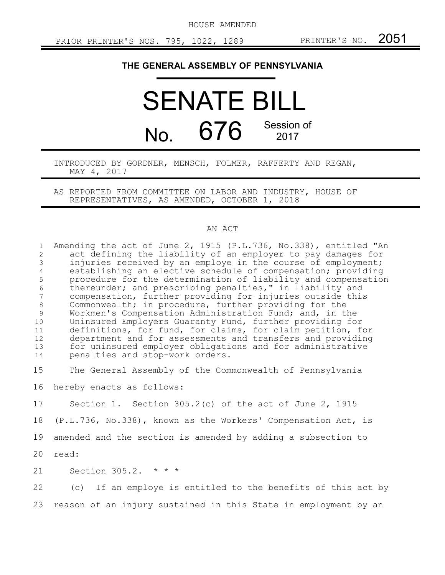HOUSE AMENDED

## **THE GENERAL ASSEMBLY OF PENNSYLVANIA**

## SENATE BILL No. 676 Session of 2017

INTRODUCED BY GORDNER, MENSCH, FOLMER, RAFFERTY AND REGAN, MAY 4, 2017

AS REPORTED FROM COMMITTEE ON LABOR AND INDUSTRY, HOUSE OF REPRESENTATIVES, AS AMENDED, OCTOBER 1, 2018

## AN ACT

Amending the act of June 2, 1915 (P.L.736, No.338), entitled "An act defining the liability of an employer to pay damages for injuries received by an employe in the course of employment; establishing an elective schedule of compensation; providing procedure for the determination of liability and compensation thereunder; and prescribing penalties," in liability and compensation, further providing for injuries outside this Commonwealth; in procedure, further providing for the Workmen's Compensation Administration Fund; and, in the Uninsured Employers Guaranty Fund, further providing for definitions, for fund, for claims, for claim petition, for department and for assessments and transfers and providing for uninsured employer obligations and for administrative penalties and stop-work orders. The General Assembly of the Commonwealth of Pennsylvania hereby enacts as follows: Section 1. Section 305.2(c) of the act of June 2, 1915 (P.L.736, No.338), known as the Workers' Compensation Act, is amended and the section is amended by adding a subsection to read: Section 305.2. \* \* \* (c) If an employe is entitled to the benefits of this act by 1 2 3 4 5 6 7 8 9 10 11 12 13 14 15 16 17 18 19 20 21 22

reason of an injury sustained in this State in employment by an 23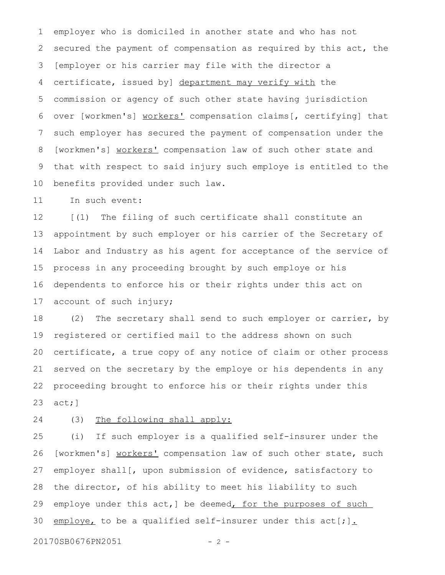employer who is domiciled in another state and who has not secured the payment of compensation as required by this act, the [employer or his carrier may file with the director a certificate, issued by] department may verify with the commission or agency of such other state having jurisdiction over [workmen's] workers' compensation claims[, certifying] that such employer has secured the payment of compensation under the [workmen's] workers' compensation law of such other state and that with respect to said injury such employe is entitled to the benefits provided under such law. 1 2 3 4 5 6 7 8 9 10

In such event: 11

[(1) The filing of such certificate shall constitute an appointment by such employer or his carrier of the Secretary of Labor and Industry as his agent for acceptance of the service of process in any proceeding brought by such employe or his dependents to enforce his or their rights under this act on account of such injury; 12 13 14 15 16 17

(2) The secretary shall send to such employer or carrier, by registered or certified mail to the address shown on such certificate, a true copy of any notice of claim or other process served on the secretary by the employe or his dependents in any proceeding brought to enforce his or their rights under this act;] 18 19 20 21 22 23

(3) The following shall apply: 24

(i) If such employer is a qualified self-insurer under the [workmen's] workers' compensation law of such other state, such employer shall[, upon submission of evidence, satisfactory to the director, of his ability to meet his liability to such employe under this act,] be deemed, for the purposes of such employe, to be a qualified self-insurer under this act[;]. 25 26 27 28 29 30

20170SB0676PN2051 - 2 -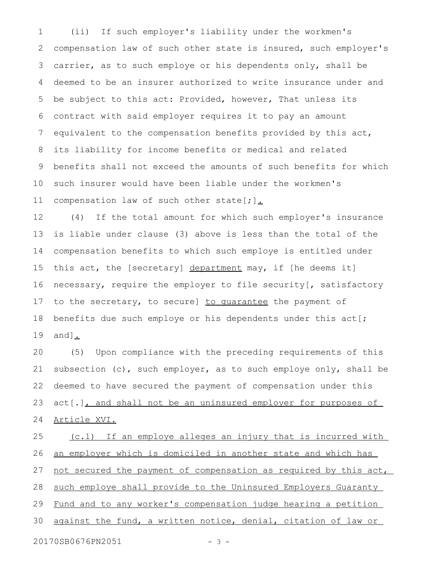(ii) If such employer's liability under the workmen's compensation law of such other state is insured, such employer's carrier, as to such employe or his dependents only, shall be deemed to be an insurer authorized to write insurance under and be subject to this act: Provided, however, That unless its contract with said employer requires it to pay an amount equivalent to the compensation benefits provided by this act, its liability for income benefits or medical and related benefits shall not exceed the amounts of such benefits for which such insurer would have been liable under the workmen's compensation law of such other state[;]. 1 2 3 4 5 6 7 8 9 10 11

(4) If the total amount for which such employer's insurance is liable under clause (3) above is less than the total of the compensation benefits to which such employe is entitled under this act, the [secretary] department may, if [he deems it] necessary, require the employer to file security[, satisfactory to the secretary, to secure] to quarantee the payment of benefits due such employe or his dependents under this act[; and]. 12 13 14 15 16 17 18 19

(5) Upon compliance with the preceding requirements of this subsection (c), such employer, as to such employe only, shall be deemed to have secured the payment of compensation under this act[.], and shall not be an uninsured employer for purposes of Article XVI. 20 21 22 23 24

(c.1) If an employe alleges an injury that is incurred with an employer which is domiciled in another state and which has not secured the payment of compensation as required by this act, such employe shall provide to the Uninsured Employers Guaranty Fund and to any worker's compensation judge hearing a petition against the fund, a written notice, denial, citation of law or 20170SB0676PN2051 - 3 -25 26 27 28 29 30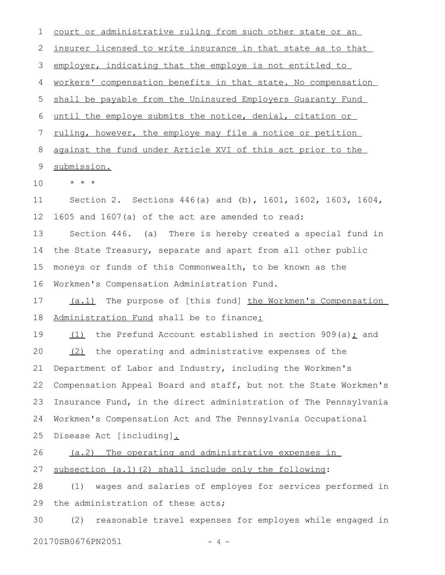| 1  | court or administrative ruling from such other state or an                |
|----|---------------------------------------------------------------------------|
| 2  | insurer licensed to write insurance in that state as to that              |
| 3  | employer, indicating that the employe is not entitled to                  |
| 4  | workers' compensation benefits in that state. No compensation             |
| 5  | shall be payable from the Uninsured Employers Guaranty Fund               |
| 6  | until the employe submits the notice, denial, citation or                 |
| 7  | ruling, however, the employe may file a notice or petition                |
| 8  | against the fund under Article XVI of this act prior to the               |
| 9  | submission.                                                               |
| 10 | $\star$ $\star$ $\star$                                                   |
| 11 | Section 2. Sections $446(a)$ and (b), $1601$ , $1602$ , $1603$ , $1604$ , |
| 12 | 1605 and 1607(a) of the act are amended to read:                          |
| 13 | Section 446. (a) There is hereby created a special fund in                |
| 14 | the State Treasury, separate and apart from all other public              |
| 15 | moneys or funds of this Commonwealth, to be known as the                  |
| 16 | Workmen's Compensation Administration Fund.                               |
| 17 | (a.1) The purpose of [this fund] the Workmen's Compensation               |
| 18 | Administration Fund shall be to finance:                                  |
| 19 | the Prefund Account established in section $909(a)$ ; and<br>(1)          |
| 20 | (2) the operating and administrative expenses of the                      |
| 21 | Department of Labor and Industry, including the Workmen's                 |
| 22 | Compensation Appeal Board and staff, but not the State Workmen's          |
| 23 | Insurance Fund, in the direct administration of The Pennsylvania          |
| 24 | Workmen's Compensation Act and The Pennsylvania Occupational              |
| 25 | Disease Act [including].                                                  |
| 26 | (a.2) The operating and administrative expenses in                        |
| 27 | subsection (a.1) (2) shall include only the following:                    |
| 28 | wages and salaries of employes for services performed in<br>(1)           |
| 29 | the administration of these acts;                                         |
| 30 | reasonable travel expenses for employes while engaged in<br>(2)           |

20170SB0676PN2051 - 4 -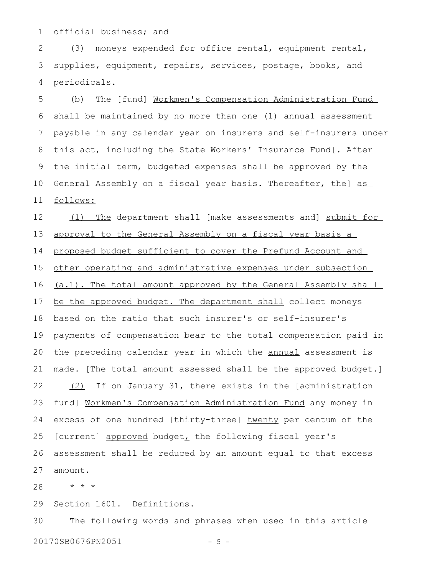official business; and 1

(3) moneys expended for office rental, equipment rental, supplies, equipment, repairs, services, postage, books, and periodicals. 2 3 4

(b) The [fund] Workmen's Compensation Administration Fund shall be maintained by no more than one (1) annual assessment payable in any calendar year on insurers and self-insurers under this act, including the State Workers' Insurance Fund[. After the initial term, budgeted expenses shall be approved by the General Assembly on a fiscal year basis. Thereafter, the] as follows: 5 6 7 8 9 10 11

(1) The department shall [make assessments and] submit for approval to the General Assembly on a fiscal year basis a proposed budget sufficient to cover the Prefund Account and other operating and administrative expenses under subsection (a.1). The total amount approved by the General Assembly shall be the approved budget. The department shall collect moneys based on the ratio that such insurer's or self-insurer's payments of compensation bear to the total compensation paid in the preceding calendar year in which the annual assessment is made. [The total amount assessed shall be the approved budget.] (2) If on January 31, there exists in the [administration fund] Workmen's Compensation Administration Fund any money in excess of one hundred [thirty-three] twenty per centum of the [current] approved budget, the following fiscal year's assessment shall be reduced by an amount equal to that excess amount. 12 13 14 15 16 17 18 19 20 21 22 23 24 25 26 27

\* \* \* 28

Section 1601. Definitions. 29

The following words and phrases when used in this article 20170SB0676PN2051 - 5 -30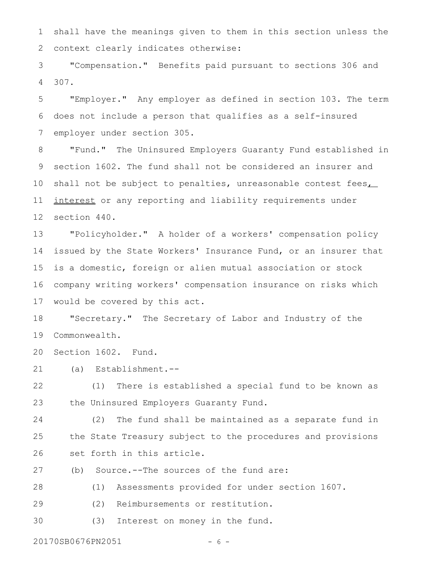shall have the meanings given to them in this section unless the context clearly indicates otherwise: 1 2

"Compensation." Benefits paid pursuant to sections 306 and 307. 3 4

"Employer." Any employer as defined in section 103. The term does not include a person that qualifies as a self-insured employer under section 305. 5 6 7

"Fund." The Uninsured Employers Guaranty Fund established in section 1602. The fund shall not be considered an insurer and shall not be subject to penalties, unreasonable contest fees interest or any reporting and liability requirements under section 440. 8 9 10 11 12

"Policyholder." A holder of a workers' compensation policy issued by the State Workers' Insurance Fund, or an insurer that is a domestic, foreign or alien mutual association or stock company writing workers' compensation insurance on risks which would be covered by this act. 13 14 15 16 17

"Secretary." The Secretary of Labor and Industry of the Commonwealth. 18 19

Section 1602. Fund. 20

(a) Establishment.-- 21

(1) There is established a special fund to be known as the Uninsured Employers Guaranty Fund. 22 23

(2) The fund shall be maintained as a separate fund in the State Treasury subject to the procedures and provisions set forth in this article. 24 25 26

(b) Source.--The sources of the fund are: 27

(1) Assessments provided for under section 1607. 28

(2) Reimbursements or restitution. 29

(3) Interest on money in the fund. 30

20170SB0676PN2051 - 6 -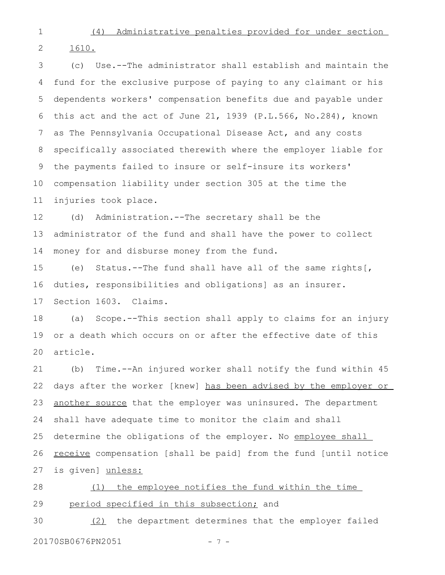1

(4) Administrative penalties provided for under section

1610. 2

(c) Use.--The administrator shall establish and maintain the fund for the exclusive purpose of paying to any claimant or his dependents workers' compensation benefits due and payable under this act and the act of June 21, 1939 (P.L.566, No.284), known as The Pennsylvania Occupational Disease Act, and any costs specifically associated therewith where the employer liable for the payments failed to insure or self-insure its workers' compensation liability under section 305 at the time the injuries took place. 3 4 5 6 7 8 9 10 11

(d) Administration.--The secretary shall be the administrator of the fund and shall have the power to collect money for and disburse money from the fund. 12 13 14

(e) Status.--The fund shall have all of the same rights[, duties, responsibilities and obligations] as an insurer. Section 1603. Claims. 15 16 17

(a) Scope.--This section shall apply to claims for an injury or a death which occurs on or after the effective date of this article. 18 19 20

(b) Time.--An injured worker shall notify the fund within 45 days after the worker [knew] has been advised by the employer or another source that the employer was uninsured. The department shall have adequate time to monitor the claim and shall determine the obligations of the employer. No employee shall receive compensation [shall be paid] from the fund [until notice is given] unless: 21 22 23 24 25 26 27

(1) the employee notifies the fund within the time period specified in this subsection; and 28 29

(2) the department determines that the employer failed 20170SB0676PN2051 - 7 -30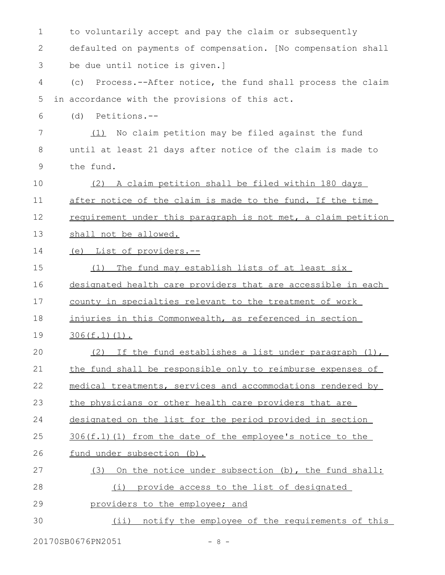| 1  | to voluntarily accept and pay the claim or subsequently         |
|----|-----------------------------------------------------------------|
| 2  | defaulted on payments of compensation. [No compensation shall   |
| 3  | be due until notice is given.]                                  |
| 4  | Process.--After notice, the fund shall process the claim<br>(C) |
| 5  | in accordance with the provisions of this act.                  |
| 6  | Petitions.--<br>(d)                                             |
| 7  | No claim petition may be filed against the fund<br>(1)          |
| 8  | until at least 21 days after notice of the claim is made to     |
| 9  | the fund.                                                       |
| 10 | (2) A claim petition shall be filed within 180 days             |
| 11 | after notice of the claim is made to the fund. If the time      |
| 12 | requirement under this paragraph is not met, a claim petition   |
| 13 | shall not be allowed.                                           |
| 14 | (e) List of providers.--                                        |
| 15 | The fund may establish lists of at least six<br>(1)             |
| 16 | designated health care providers that are accessible in each    |
| 17 | county in specialties relevant to the treatment of work         |
| 18 | injuries in this Commonwealth, as referenced in section         |
| 19 | $306(f.1)(1)$ .                                                 |
| 20 | (2) If the fund establishes a list under paragraph (1),         |
| 21 | the fund shall be responsible only to reimburse expenses of     |
| 22 | medical treatments, services and accommodations rendered by     |
| 23 | the physicians or other health care providers that are          |
| 24 | designated on the list for the period provided in section       |
| 25 | $306(f.1)$ (1) from the date of the employee's notice to the    |
| 26 | fund under subsection (b).                                      |
| 27 | (3) On the notice under subsection (b), the fund shall:         |
| 28 | (i) provide access to the list of designated                    |
| 29 | providers to the employee; and                                  |
| 30 | (ii) notify the employee of the requirements of this            |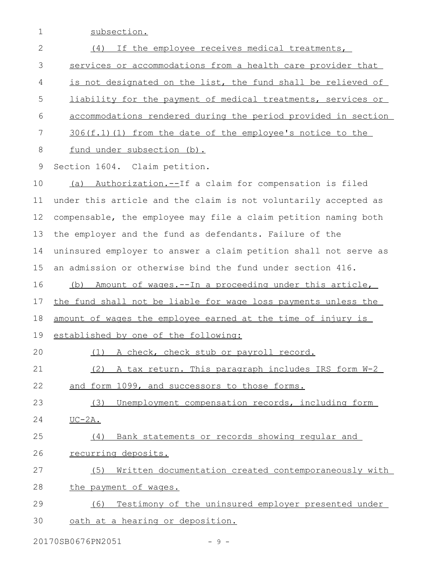1 subsection.

| $\mathbf{2}$ | If the employee receives medical treatments,<br>(4)              |
|--------------|------------------------------------------------------------------|
| 3            | services or accommodations from a health care provider that      |
| 4            | is not designated on the list, the fund shall be relieved of     |
| 5            | liability for the payment of medical treatments, services or     |
| 6            | accommodations rendered during the period provided in section    |
| 7            | $306(f.1)$ (1) from the date of the employee's notice to the     |
| 8            | fund under subsection (b).                                       |
| 9            | Section 1604. Claim petition.                                    |
| 10           | Authorization.--If a claim for compensation is filed<br>(a)      |
| 11           | under this article and the claim is not voluntarily accepted as  |
| 12           | compensable, the employee may file a claim petition naming both  |
| 13           | the employer and the fund as defendants. Failure of the          |
| 14           | uninsured employer to answer a claim petition shall not serve as |
| 15           | an admission or otherwise bind the fund under section 416.       |
| 16           | (b) Amount of wages.--In a proceeding under this article,        |
| 17           | the fund shall not be liable for wage loss payments unless the   |
| 18           | amount of wages the employee earned at the time of injury is     |
| 19           | established by one of the following:                             |
| 20           | A check, check stub or payroll record.<br>(1)                    |
| 21           | (2) A tax return. This paragraph includes IRS form W-2           |
| 22           | and form 1099, and successors to those forms.                    |
| 23           | Unemployment compensation records, including form<br>(3)         |
| 24           | $UC-2A.$                                                         |
| 25           | Bank statements or records showing regular and<br>(4)            |
| 26           | recurring deposits.                                              |
| 27           | Written documentation created contemporaneously with<br>(5)      |
| 28           | the payment of wages.                                            |
| 29           | Testimony of the uninsured employer presented under<br>(6)       |
| 30           | oath at a hearing or deposition.                                 |

20170SB0676PN2051 - 9 -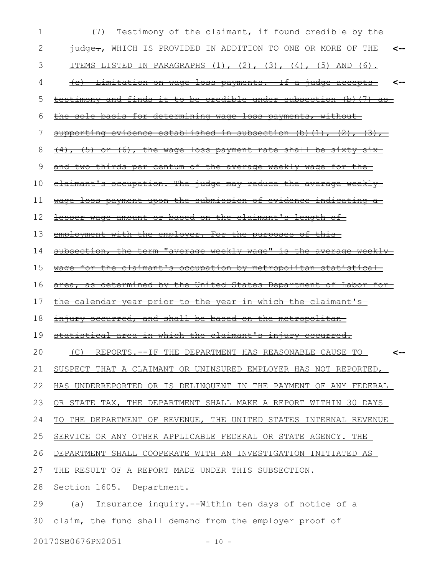| 1  | Testimony of the claimant, if found credible by the<br>(7)                   |
|----|------------------------------------------------------------------------------|
| 2  | judge-, WHICH IS PROVIDED IN ADDITION TO ONE OR MORE OF THE<br><--           |
| 3  | ITEMS LISTED IN PARAGRAPHS $(1)$ , $(2)$ , $(3)$ , $(4)$ , $(5)$ AND $(6)$ . |
| 4  | <u>(e) Limitation on wage loss payments.—If a judge accepts-</u><br><--      |
| 5  | <u>testimony and finds it to be credible under subsection (b) (7) as-</u>    |
| 6  | the sole basis for determining wage loss payments, without                   |
| 7  | supporting evidence established in subsection (b) (1), (2), (3),             |
| 8  | (4), (5) or (6), the wage loss payment rate shall be sixty six               |
| 9  | and two thirds per centum of the average weekly wage for the                 |
| 10 | claimant's occupation. The judge may reduce the average weekly               |
| 11 | wage loss payment upon the submission of evidence indicating a               |
| 12 | <u>lesser wage amount or based on the claimant's length of-</u>              |
| 13 | employment with the employer. For the purposes of this-                      |
| 14 | subsection, the term "average weekly wage" is the average weekly             |
| 15 | wage for the claimant's occupation by metropolitan statistical               |
| 16 | area, as determined by the United States Department of Labor for             |
| 17 | <u>the calendar year prior to the year in which the claimant's </u>          |
| 18 | injury occurred, and shall be based on the metropolitan                      |
| 19 | statistical area in which the claimant's injury occurred.                    |
| 20 | (C) REPORTS. -- IF THE DEPARTMENT HAS REASONABLE CAUSE TO                    |
| 21 | SUSPECT THAT A CLAIMANT OR UNINSURED EMPLOYER HAS NOT REPORTED,              |
| 22 | HAS UNDERREPORTED OR IS DELINQUENT IN THE PAYMENT OF ANY FEDERAL             |
| 23 | OR STATE TAX, THE DEPARTMENT SHALL MAKE A REPORT WITHIN 30 DAYS              |
| 24 | TO THE DEPARTMENT OF REVENUE, THE UNITED STATES INTERNAL REVENUE             |
| 25 | SERVICE OR ANY OTHER APPLICABLE FEDERAL OR STATE AGENCY. THE                 |
| 26 | DEPARTMENT SHALL COOPERATE WITH AN INVESTIGATION INITIATED AS                |
| 27 | THE RESULT OF A REPORT MADE UNDER THIS SUBSECTION.                           |
| 28 |                                                                              |
|    | Section 1605. Department.                                                    |
| 29 | Insurance inquiry.--Within ten days of notice of a<br>(a)                    |
| 30 | claim, the fund shall demand from the employer proof of                      |

20170SB0676PN2051 - 10 -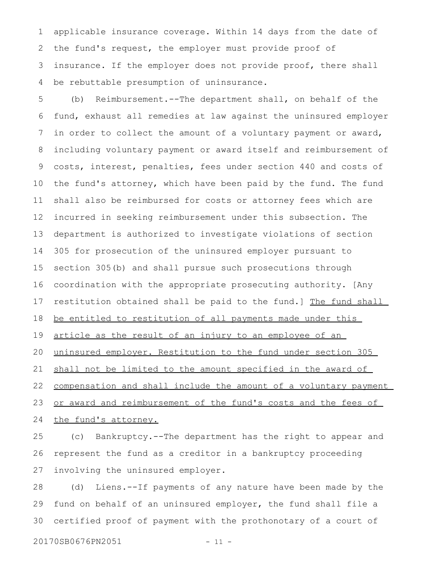applicable insurance coverage. Within 14 days from the date of the fund's request, the employer must provide proof of insurance. If the employer does not provide proof, there shall be rebuttable presumption of uninsurance. 1 2 3 4

(b) Reimbursement.--The department shall, on behalf of the fund, exhaust all remedies at law against the uninsured employer in order to collect the amount of a voluntary payment or award, including voluntary payment or award itself and reimbursement of costs, interest, penalties, fees under section 440 and costs of the fund's attorney, which have been paid by the fund. The fund shall also be reimbursed for costs or attorney fees which are incurred in seeking reimbursement under this subsection. The department is authorized to investigate violations of section 305 for prosecution of the uninsured employer pursuant to section 305(b) and shall pursue such prosecutions through coordination with the appropriate prosecuting authority. [Any restitution obtained shall be paid to the fund.] The fund shall be entitled to restitution of all payments made under this article as the result of an injury to an employee of an uninsured employer. Restitution to the fund under section 305 shall not be limited to the amount specified in the award of compensation and shall include the amount of a voluntary payment or award and reimbursement of the fund's costs and the fees of the fund's attorney. 5 6 7 8 9 10 11 12 13 14 15 16 17 18 19 20 21 22 23 24

(c) Bankruptcy.--The department has the right to appear and represent the fund as a creditor in a bankruptcy proceeding involving the uninsured employer. 25 26 27

(d) Liens.--If payments of any nature have been made by the fund on behalf of an uninsured employer, the fund shall file a certified proof of payment with the prothonotary of a court of 28 29 30

20170SB0676PN2051 - 11 -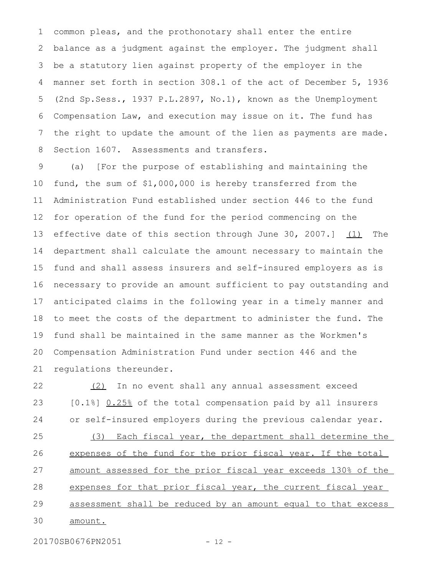common pleas, and the prothonotary shall enter the entire balance as a judgment against the employer. The judgment shall be a statutory lien against property of the employer in the manner set forth in section 308.1 of the act of December 5, 1936 (2nd Sp.Sess., 1937 P.L.2897, No.1), known as the Unemployment Compensation Law, and execution may issue on it. The fund has the right to update the amount of the lien as payments are made. Section 1607. Assessments and transfers. 1 2 3 4 5 6 7 8

(a) [For the purpose of establishing and maintaining the fund, the sum of \$1,000,000 is hereby transferred from the Administration Fund established under section 446 to the fund for operation of the fund for the period commencing on the effective date of this section through June 30, 2007.]  $(1)$  The department shall calculate the amount necessary to maintain the fund and shall assess insurers and self-insured employers as is necessary to provide an amount sufficient to pay outstanding and anticipated claims in the following year in a timely manner and to meet the costs of the department to administer the fund. The fund shall be maintained in the same manner as the Workmen's Compensation Administration Fund under section 446 and the regulations thereunder. 9 10 11 12 13 14 15 16 17 18 19 20 21

(2) In no event shall any annual assessment exceed [0.1%] 0.25% of the total compensation paid by all insurers or self-insured employers during the previous calendar year. 22 23 24

(3) Each fiscal year, the department shall determine the expenses of the fund for the prior fiscal year. If the total amount assessed for the prior fiscal year exceeds 130% of the expenses for that prior fiscal year, the current fiscal year assessment shall be reduced by an amount equal to that excess amount. 25 26 27 28 29 30

20170SB0676PN2051 - 12 -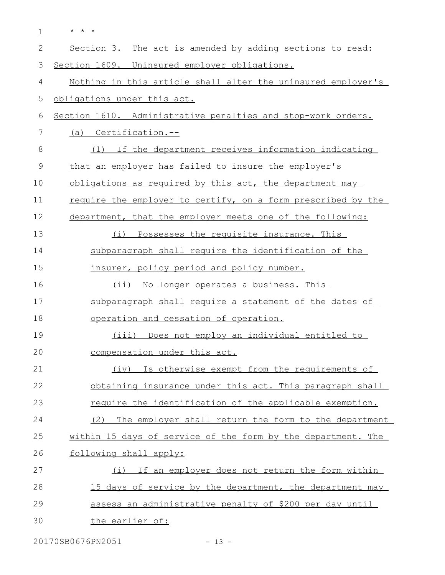| $\mathbf{1}$ | $\star$ $\star$ $\star$                                      |
|--------------|--------------------------------------------------------------|
| $\mathbf{2}$ | Section 3. The act is amended by adding sections to read:    |
| 3            | Section 1609. Uninsured employer obligations.                |
| 4            | Nothing in this article shall alter the uninsured employer's |
| 5            | obligations under this act.                                  |
| 6            | Section 1610. Administrative penalties and stop-work orders. |
| 7            | (a) Certification.--                                         |
| 8            | (1) If the department receives information indicating        |
| 9            | that an employer has failed to insure the employer's         |
| 10           | obligations as required by this act, the department may      |
| 11           | require the employer to certify, on a form prescribed by the |
| 12           | department, that the employer meets one of the following:    |
| 13           | Possesses the requisite insurance. This<br>(i)               |
| 14           | subparagraph shall require the identification of the         |
| 15           | insurer, policy period and policy number.                    |
| 16           | (ii) No longer operates a business. This                     |
| 17           | subparagraph shall require a statement of the dates of       |
| 18           | operation and cessation of operation.                        |
| 19           | (iii) Does not employ an individual entitled to              |
| 20           | compensation under this act.                                 |
| 21           | (iv) Is otherwise exempt from the requirements of            |
| 22           | obtaining insurance under this act. This paragraph shall     |
| 23           | require the identification of the applicable exemption.      |
| 24           | (2) The employer shall return the form to the department     |
| 25           | within 15 days of service of the form by the department. The |
| 26           | following shall apply:                                       |
| 27           | (i) If an employer does not return the form within           |
| 28           | 15 days of service by the department, the department may     |
| 29           | assess an administrative penalty of \$200 per day until      |
| 30           | the earlier of:                                              |

20170SB0676PN2051 - 13 -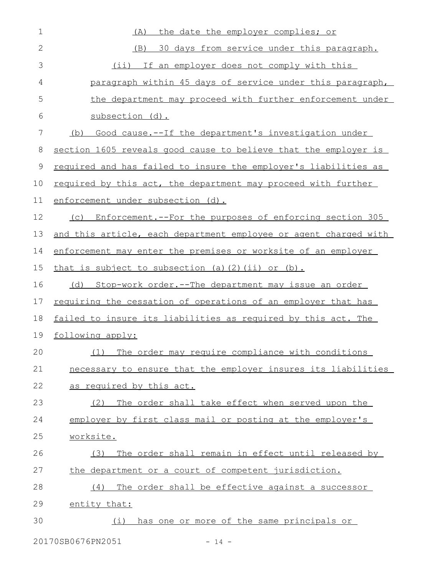| $\mathbf 1$  | the date the employer complies; or<br>(A)                            |
|--------------|----------------------------------------------------------------------|
| $\mathbf{2}$ | 30 days from service under this paragraph.<br>(B)                    |
| 3            | (ii) If an employer does not comply with this                        |
| 4            | paragraph within 45 days of service under this paragraph,            |
| 5            | the department may proceed with further enforcement under            |
| 6            | subsection (d).                                                      |
| 7            | Good cause.--If the department's investigation under<br>(b)          |
| 8            | section 1605 reveals good cause to believe that the employer is      |
| 9            | required and has failed to insure the employer's liabilities as      |
| 10           | required by this act, the department may proceed with further        |
| 11           | enforcement under subsection (d).                                    |
| 12           | Enforcement.--For the purposes of enforcing section 305<br>(C)       |
| 13           | and this article, each department employee or agent charged with     |
| 14           | enforcement may enter the premises or worksite of an employer        |
| 15           | that is subject to subsection (a)(2)(ii) or (b).                     |
| 16           | Stop-work order.--The department may issue an order<br>(d)           |
| 17           | <u>requiring the cessation of operations of an employer that has</u> |
| 18           | failed to insure its liabilities as required by this act. The        |
| 19           | following apply:                                                     |
| 20           | The order may require compliance with conditions<br>(1)              |
| 21           | necessary to ensure that the employer insures its liabilities        |
| 22           | as required by this act.                                             |
| 23           | The order shall take effect when served upon the<br>(2)              |
| 24           | employer by first class mail or posting at the employer's            |
| 25           | worksite.                                                            |
| 26           | The order shall remain in effect until released by<br>(3)            |
| 27           | the department or a court of competent jurisdiction.                 |
| 28           | The order shall be effective against a successor<br>(4)              |
| 29           | entity that:                                                         |
| 30           | has one or more of the same principals or<br>(i)                     |
|              |                                                                      |

20170SB0676PN2051 - 14 -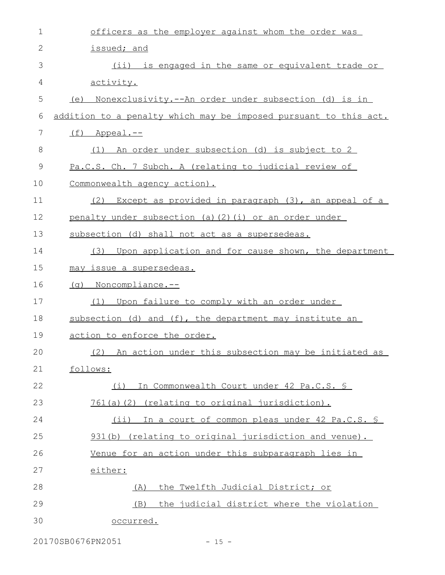| 1             | officers as the employer against whom the order was              |
|---------------|------------------------------------------------------------------|
| $\mathbf{2}$  | issued; and                                                      |
| 3             | (ii) is engaged in the same or equivalent trade or               |
| 4             | activity.                                                        |
| 5             | Nonexclusivity.--An order under subsection (d) is in<br>(e)      |
| 6             | addition to a penalty which may be imposed pursuant to this act. |
| 7             | $(f)$ Appeal.--                                                  |
| 8             | An order under subsection (d) is subject to 2<br>(1)             |
| $\mathcal{G}$ | Pa.C.S. Ch. 7 Subch. A (relating to judicial review of           |
| 10            | Commonwealth agency action).                                     |
| 11            | Except as provided in paragraph (3), an appeal of a<br>(2)       |
| 12            | penalty under subsection (a) (2) (i) or an order under           |
| 13            | subsection (d) shall not act as a supersedeas.                   |
| 14            | (3) Upon application and for cause shown, the department         |
| 15            | may issue a supersedeas.                                         |
| 16            | (q) Noncompliance.--                                             |
| 17            | (1) Upon failure to comply with an order under                   |
| 18            | subsection (d) and (f), the department may institute an          |
| 19            | action to enforce the order.                                     |
| 20            | (2) An action under this subsection may be initiated as          |
| 21            | follows:                                                         |
| 22            | (i) In Commonwealth Court under 42 Pa.C.S. S                     |
| 23            | 761(a)(2) (relating to original jurisdiction).                   |
| 24            | (ii) In a court of common pleas under 42 Pa.C.S. §               |
| 25            | 931(b) (relating to original jurisdiction and venue).            |
| 26            | Venue for an action under this subparagraph lies in              |
| 27            | either:                                                          |
| 28            | the Twelfth Judicial District; or<br>(A)                         |
| 29            | the judicial district where the violation<br>(B)                 |
| 30            | occurred.                                                        |

20170SB0676PN2051 - 15 -